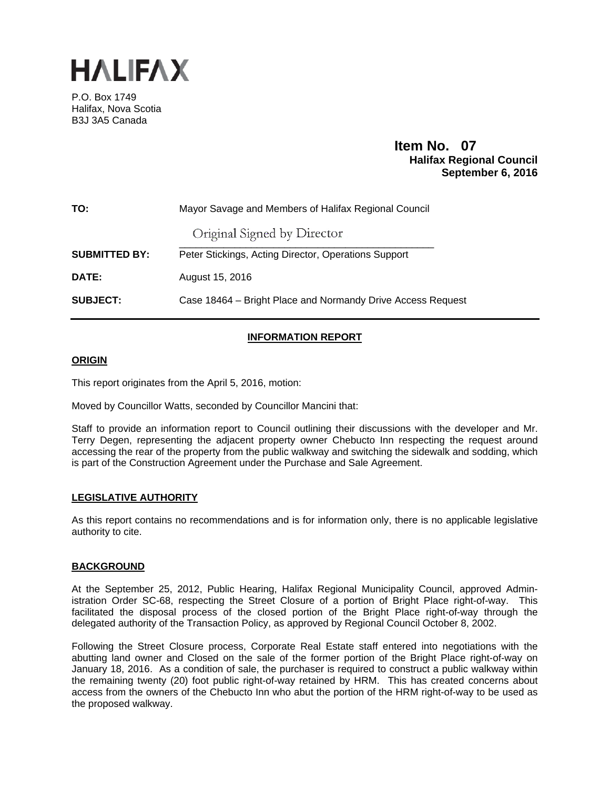

P.O. Box 1749 Halifax, Nova Scotia B3J 3A5 Canada

## **Item No. 07**<br>**Halifax Regional Council September 6, 2016**

| TO:                  | Mayor Savage and Members of Halifax Regional Council        |
|----------------------|-------------------------------------------------------------|
|                      | Original Signed by Director                                 |
| <b>SUBMITTED BY:</b> | Peter Stickings, Acting Director, Operations Support        |
| DATE:                | August 15, 2016                                             |
| <b>SUBJECT:</b>      | Case 18464 – Bright Place and Normandy Drive Access Request |

### **INFORMATION REPORT**

#### **ORIGIN**

This report originates from the April 5, 2016, motion:

Moved by Councillor Watts, seconded by Councillor Mancini that:

Staff to provide an information report to Council outlining their discussions with the developer and Mr. Terry Degen, representing the adjacent property owner Chebucto Inn respecting the request around accessing the rear of the property from the public walkway and switching the sidewalk and sodding, which is part of the Construction Agreement under the Purchase and Sale Agreement.

#### **LEGISLATIVE AUTHORITY**

As this report contains no recommendations and is for information only, there is no applicable legislative authority to cite.

#### **BACKGROUND**

At the September 25, 2012, Public Hearing, Halifax Regional Municipality Council, approved Administration Order SC-68, respecting the Street Closure of a portion of Bright Place right-of-way. This facilitated the disposal process of the closed portion of the Bright Place right-of-way through the delegated authority of the Transaction Policy, as approved by Regional Council October 8, 2002.

Following the Street Closure process, Corporate Real Estate staff entered into negotiations with the abutting land owner and Closed on the sale of the former portion of the Bright Place right-of-way on January 18, 2016. As a condition of sale, the purchaser is required to construct a public walkway within the remaining twenty (20) foot public right-of-way retained by HRM. This has created concerns about access from the owners of the Chebucto Inn who abut the portion of the HRM right-of-way to be used as the proposed walkway.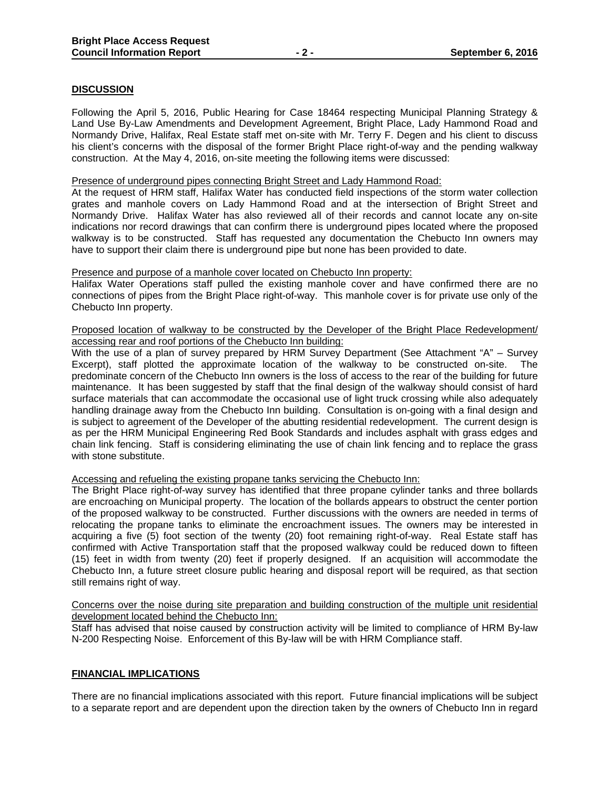#### **DISCUSSION**

Following the April 5, 2016, Public Hearing for Case 18464 respecting Municipal Planning Strategy & Land Use By-Law Amendments and Development Agreement, Bright Place, Lady Hammond Road and Normandy Drive, Halifax, Real Estate staff met on-site with Mr. Terry F. Degen and his client to discuss his client's concerns with the disposal of the former Bright Place right-of-way and the pending walkway construction. At the May 4, 2016, on-site meeting the following items were discussed:

#### Presence of underground pipes connecting Bright Street and Lady Hammond Road:

At the request of HRM staff, Halifax Water has conducted field inspections of the storm water collection grates and manhole covers on Lady Hammond Road and at the intersection of Bright Street and Normandy Drive. Halifax Water has also reviewed all of their records and cannot locate any on-site indications nor record drawings that can confirm there is underground pipes located where the proposed walkway is to be constructed. Staff has requested any documentation the Chebucto Inn owners may have to support their claim there is underground pipe but none has been provided to date.

#### Presence and purpose of a manhole cover located on Chebucto Inn property:

Halifax Water Operations staff pulled the existing manhole cover and have confirmed there are no connections of pipes from the Bright Place right-of-way. This manhole cover is for private use only of the Chebucto Inn property.

#### Proposed location of walkway to be constructed by the Developer of the Bright Place Redevelopment/ accessing rear and roof portions of the Chebucto Inn building:

With the use of a plan of survey prepared by HRM Survey Department (See Attachment "A" - Survev Excerpt), staff plotted the approximate location of the walkway to be constructed on-site. The predominate concern of the Chebucto Inn owners is the loss of access to the rear of the building for future maintenance. It has been suggested by staff that the final design of the walkway should consist of hard surface materials that can accommodate the occasional use of light truck crossing while also adequately handling drainage away from the Chebucto Inn building. Consultation is on-going with a final design and is subject to agreement of the Developer of the abutting residential redevelopment. The current design is as per the HRM Municipal Engineering Red Book Standards and includes asphalt with grass edges and chain link fencing. Staff is considering eliminating the use of chain link fencing and to replace the grass with stone substitute.

#### Accessing and refueling the existing propane tanks servicing the Chebucto Inn:

The Bright Place right-of-way survey has identified that three propane cylinder tanks and three bollards are encroaching on Municipal property. The location of the bollards appears to obstruct the center portion of the proposed walkway to be constructed. Further discussions with the owners are needed in terms of relocating the propane tanks to eliminate the encroachment issues. The owners may be interested in acquiring a five (5) foot section of the twenty (20) foot remaining right-of-way. Real Estate staff has confirmed with Active Transportation staff that the proposed walkway could be reduced down to fifteen (15) feet in width from twenty (20) feet if properly designed. If an acquisition will accommodate the Chebucto Inn, a future street closure public hearing and disposal report will be required, as that section still remains right of way.

#### Concerns over the noise during site preparation and building construction of the multiple unit residential development located behind the Chebucto Inn:

Staff has advised that noise caused by construction activity will be limited to compliance of HRM By-law N-200 Respecting Noise. Enforcement of this By-law will be with HRM Compliance staff.

#### **FINANCIAL IMPLICATIONS**

There are no financial implications associated with this report. Future financial implications will be subject to a separate report and are dependent upon the direction taken by the owners of Chebucto Inn in regard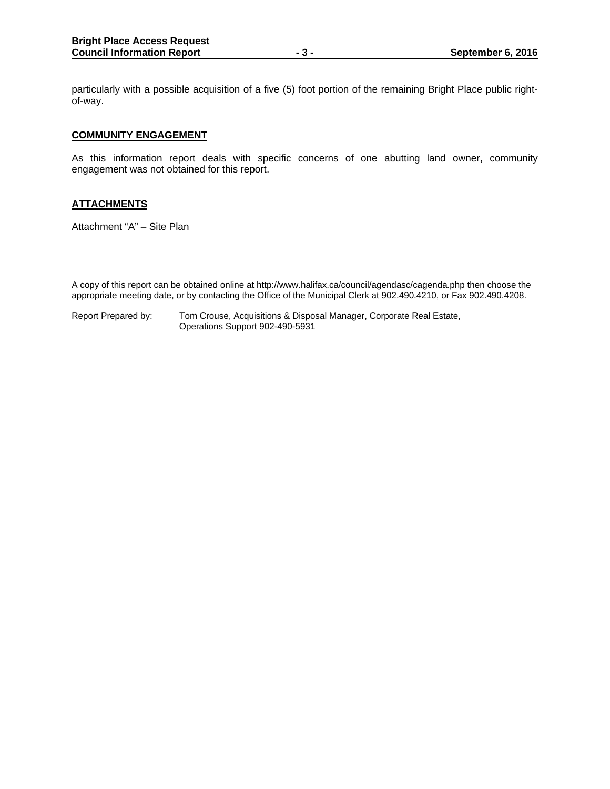particularly with a possible acquisition of a five (5) foot portion of the remaining Bright Place public rightof-way.

#### **COMMUNITY ENGAGEMENT**

As this information report deals with specific concerns of one abutting land owner, community engagement was not obtained for this report.

#### **ATTACHMENTS**

Attachment "A" – Site Plan

A copy of this report can be obtained online at http://www.halifax.ca/council/agendasc/cagenda.php then choose the appropriate meeting date, or by contacting the Office of the Municipal Clerk at 902.490.4210, or Fax 902.490.4208.

Report Prepared by: Tom Crouse, Acquisitions & Disposal Manager, Corporate Real Estate, Operations Support 902-490-5931